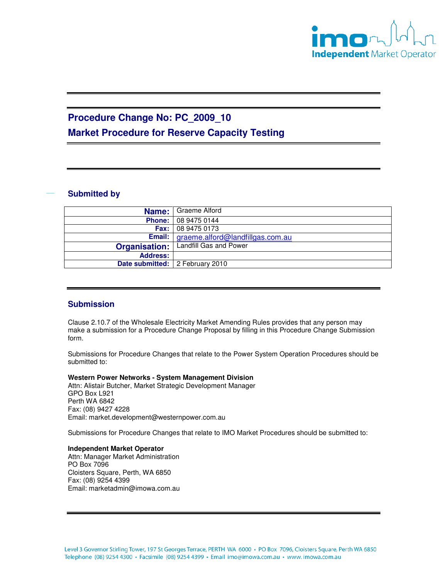

# **Procedure Change No: PC\_2009\_10**

**Market Procedure for Reserve Capacity Testing** 

### **Submitted by**

|                                   | <b>Name:</b> Graeme Alford                     |
|-----------------------------------|------------------------------------------------|
|                                   | <b>Phone:</b> 08 9475 0144                     |
|                                   | <b>Fax:</b> 08 9475 0173                       |
|                                   | <b>Email:</b> graeme.alford@landfillgas.com.au |
| <b>Organisation:</b>              | Landfill Gas and Power                         |
| <b>Address:</b>                   |                                                |
| Date submitted:   2 February 2010 |                                                |

## **Submission**

Clause 2.10.7 of the Wholesale Electricity Market Amending Rules provides that any person may make a submission for a Procedure Change Proposal by filling in this Procedure Change Submission form.

Submissions for Procedure Changes that relate to the Power System Operation Procedures should be submitted to:

**Western Power Networks - System Management Division** Attn: Alistair Butcher, Market Strategic Development Manager GPO Box L921 Perth WA 6842 Fax: (08) 9427 4228 Email: market.development@westernpower.com.au

Submissions for Procedure Changes that relate to IMO Market Procedures should be submitted to:

### **Independent Market Operator**

Attn: Manager Market Administration PO Box 7096 Cloisters Square, Perth, WA 6850 Fax: (08) 9254 4399 Email: marketadmin@imowa.com.au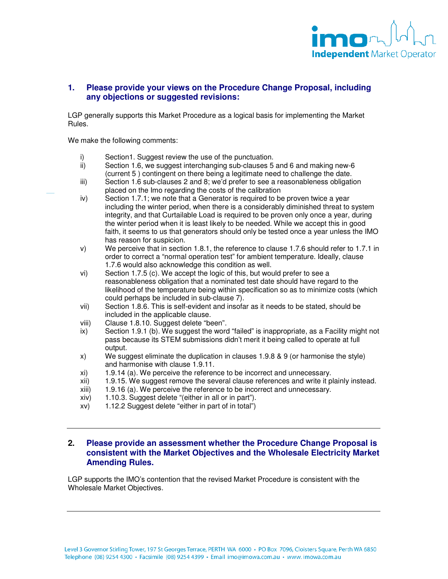

### **1. Please provide your views on the Procedure Change Proposal, including any objections or suggested revisions:**

LGP generally supports this Market Procedure as a logical basis for implementing the Market Rules.

We make the following comments:

- i) Section1. Suggest review the use of the punctuation.<br>ii) Section 1.6, we suggest interchanging sub-clauses 5
- Section 1.6, we suggest interchanging sub-clauses 5 and 6 and making new-6 (current 5 ) contingent on there being a legitimate need to challenge the date.
- iii) Section 1.6 sub-clauses 2 and 8; we'd prefer to see a reasonableness obligation placed on the Imo regarding the costs of the calibration
- iv) Section 1.7.1; we note that a Generator is required to be proven twice a year including the winter period, when there is a considerably diminished threat to system integrity, and that Curtailable Load is required to be proven only once a year, during the winter period when it is least likely to be needed. While we accept this in good faith, it seems to us that generators should only be tested once a year unless the IMO has reason for suspicion.
- v) We perceive that in section 1.8.1, the reference to clause 1.7.6 should refer to 1.7.1 in order to correct a "normal operation test" for ambient temperature. Ideally, clause 1.7.6 would also acknowledge this condition as well.
- vi) Section 1.7.5 (c). We accept the logic of this, but would prefer to see a reasonableness obligation that a nominated test date should have regard to the likelihood of the temperature being within specification so as to minimize costs (which could perhaps be included in sub-clause 7).
- vii) Section 1.8.6. This is self-evident and insofar as it needs to be stated, should be included in the applicable clause.
- viii) Clause 1.8.10. Suggest delete "been".
- ix) Section 1.9.1 (b). We suggest the word "failed" is inappropriate, as a Facility might not pass because its STEM submissions didn't merit it being called to operate at full output.
- x) We suggest eliminate the duplication in clauses 1.9.8 & 9 (or harmonise the style) and harmonise with clause 1.9.11.
- xi) 1.9.14 (a). We perceive the reference to be incorrect and unnecessary.
- xii) 1.9.15. We suggest remove the several clause references and write it plainly instead.
- xiii) 1.9.16 (a). We perceive the reference to be incorrect and unnecessary.
- xiv) 1.10.3. Suggest delete "(either in all or in part").
- xv) 1.12.2 Suggest delete "either in part of in total")

#### **2. Please provide an assessment whether the Procedure Change Proposal is consistent with the Market Objectives and the Wholesale Electricity Market Amending Rules.**

LGP supports the IMO's contention that the revised Market Procedure is consistent with the Wholesale Market Objectives.